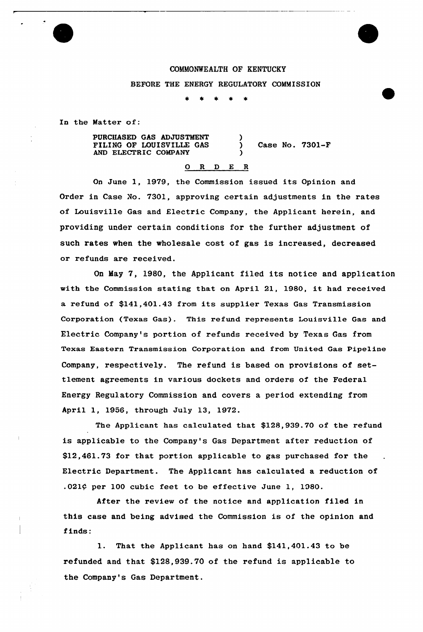## COMMONWEALTH OF KENTUCKY

)

)

## BEFORE THE ENERGY REGULATORY COMMISSION

In the Matter of:

PURCHASED GAS ADJUSTMENT FILING OF LOUISVILLE GAS AND ELECTRIC COMPANY

) Case No. 7301-F

## 0 R <sup>D</sup> E <sup>R</sup>

On June 1, 1979, the Commission issued its Opinion and Order in Case No. 7301, approving certain adjustments in the rates of Louisville Gas and Electric Company, the Applicant herein, and providing under certain conditions for the further adjustment of such rates when the wholesale cost of gas is increased, decreased or refunds are received.

On May 7, 1980, the Applicant filed its notice and application with the Commission stating that on April 21, 1980, it had received a refund of \$141,401.43 from its supplier Texas Gas Transmission Corporation (Texas Gas). This refund represents Louisville Gas and Electric Company's portion of refunds received by Texas Gas from Texas Eastern Transmission Corporation and from United Gas Pipeline Company, respectively. The refund is based on provisions of settlement agreements in various dockets and orders of the Federal Energy Regulatory Commission and covers a period extending from April 1, 1956, through July 13, 1972.

The Applicant has calculated that \$128,939.70 of the refund is applicable to the Company's Gas Department after reduction of \$12,461.73 for that portion applicable to gas purchased for the Electric Department. The Applicant has calculated a reduction of .021¢ per 100 cubic feet to be effective June 1, 1980.

After the review of the notice and application filed in this case and being advised the Commission is of the opinion and finds:

1. That the Applicant has on hand \$141,401.43 to be refunded and that \$128,939.70 of the refund is applicable to the Company's Gas Department.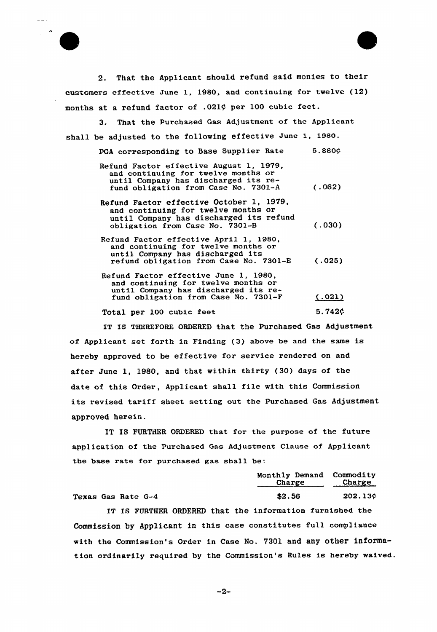2. That the Applicant should refund said monies to their customers effective June 1, 1980, and continuing for twelve (12) months at a refund factor of .021¢ per 100 cubic feet.

3. That the Purchased Gas Adjustment of the Applicant shall be adjusted to the following effective June 1, 198O.

| PGA corresponding to Base Supplier Rate                                                                                                                        | 5.880c |
|----------------------------------------------------------------------------------------------------------------------------------------------------------------|--------|
| Refund Factor effective August 1, 1979,<br>and continuing for twelve months or<br>until Company has discharged its re-<br>fund obligation from Case No. 7301-A | (.062) |
| Refund Factor effective October 1, 1979,<br>and continuing for twelve months or<br>until Company has discharged its refund<br>obligation from Case No. 7301-B  | (.030) |
| Refund Factor effective April 1, 1980,<br>and continuing for twelve months or<br>until Company has discharged its<br>refund obligation from Case No. 7301-E    | (.025) |
| Refund Factor effective June 1, 1980,<br>and continuing for twelve months or<br>until Company has discharged its re-<br>fund obligation from Case No. 7301-F   | (.021) |
| Total per 100 cubic feet                                                                                                                                       | 5.742¢ |

IT IS THEREFORE ORDERED that the Purchased Gas Adjustment of Applicant set forth in Finding (3) above be and the same is hereby approved to be effective for service rendered on and after June 1, 1980, and that within thirty (30) days of the date of this Order, Applicant shall file with this Commission its revised tariff sheet setting out the Purchased Gas Adjustment approved herein.

IT IS FURTiiER ORDERED that for the purpose of the future application of the Purchased Gas Adjustment Clause of Applicant the base rate for purchased gas shall be:

|                    |  | Monthly Demand Commodity<br>Charge Charge |         |
|--------------------|--|-------------------------------------------|---------|
| Texas Gas Rate G-4 |  | \$2.56                                    | 202.13c |

IT IS FURTHER ORDERED that the information furnished the Commission by Applicant in this case constitutes full compliance with the Commission's Order in Case No. 7301 and any other information ordinaxily required by the Commission's Rules is hereby waived.

 $-2-$